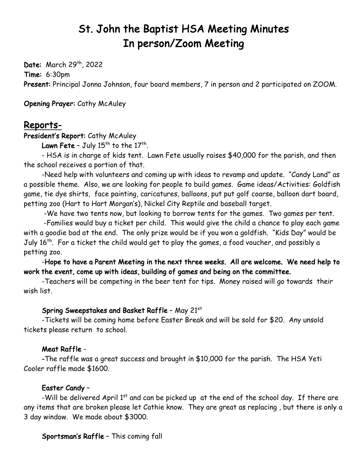# St. John the Baptist HSA Meeting Minutes In person/Zoom Meeting

Date: March 29<sup>th</sup>, 2022 Time: 6:30pm Present: Principal Jonna Johnson, four board members, 7 in person and 2 participated on ZOOM.

Opening Prayer: Cathy McAuley

# Reports-

President's Report: Cathy McAuley

Lawn Fete - July  $15<sup>th</sup>$  to the  $17<sup>th</sup>$ .

- HSA is in charge of kids tent. Lawn Fete usually raises \$40,000 for the parish, and then the school receives a portion of that.

-Need help with volunteers and coming up with ideas to revamp and update. "Candy Land" as a possible theme. Also, we are looking for people to build games. Game ideas/Activities: Goldfish game, tie dye shirts, face painting, caricatures, balloons, put put golf coarse, balloon dart board, petting zoo (Hart to Hart Morgan's), Nickel City Reptile and baseball target.

-We have two tents now, but looking to borrow tents for the games. Two games per tent.

-Families would buy a ticket per child. This would give the child a chance to play each game with a goodie bad at the end. The only prize would be if you won a goldfish. "Kids Day" would be July 16<sup>th</sup>. For a ticket the child would get to play the games, a food voucher, and possibly a petting zoo.

-Hope to have a Parent Meeting in the next three weeks. All are welcome. We need help to work the event, come up with ideas, building of games and being on the committee.

-Teachers will be competing in the beer tent for tips. Money raised will go towards their wish list.

# Spring Sweepstakes and Basket Raffle – May 21st

-Tickets will be coming home before Easter Break and will be sold for \$20. Any unsold tickets please return to school.

# Meat Raffle -

 -The raffle was a great success and brought in \$10,000 for the parish. The HSA Yeti Cooler raffle made \$1600.

# Easter Candy –

-Will be delivered April  $1<sup>st</sup>$  and can be picked up at the end of the school day. If there are any items that are broken please let Cathie know. They are great as replacing , but there is only a 3 day window. We made about \$3000.

Sportsman's Raffle – This coming fall